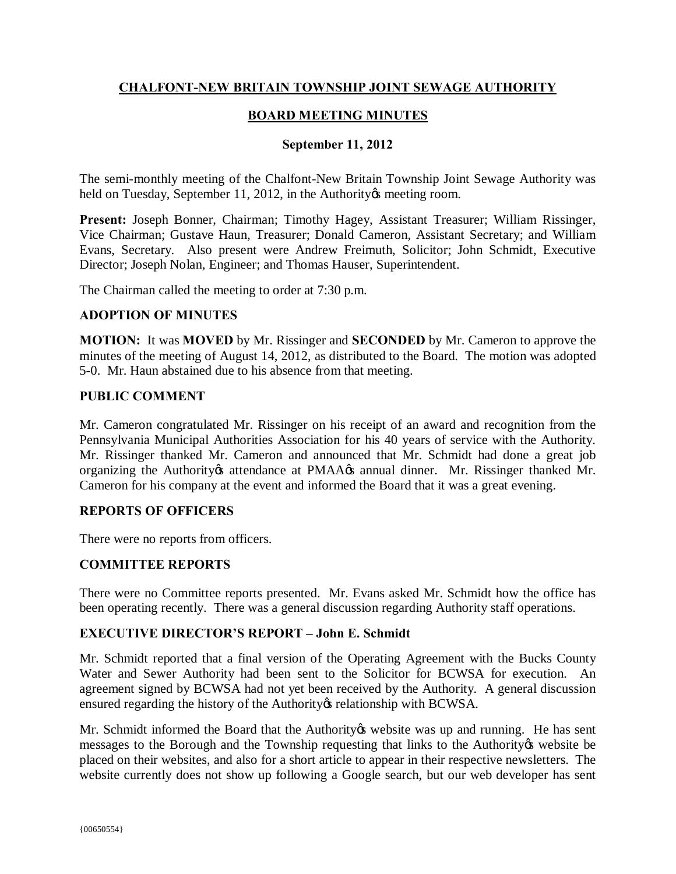# **CHALFONT-NEW BRITAIN TOWNSHIP JOINT SEWAGE AUTHORITY**

# **BOARD MEETING MINUTES**

### **September 11, 2012**

The semi-monthly meeting of the Chalfont-New Britain Township Joint Sewage Authority was held on Tuesday, September 11, 2012, in the Authority is meeting room.

**Present:** Joseph Bonner, Chairman; Timothy Hagey, Assistant Treasurer; William Rissinger, Vice Chairman; Gustave Haun, Treasurer; Donald Cameron, Assistant Secretary; and William Evans, Secretary. Also present were Andrew Freimuth, Solicitor; John Schmidt, Executive Director; Joseph Nolan, Engineer; and Thomas Hauser, Superintendent.

The Chairman called the meeting to order at 7:30 p.m.

### **ADOPTION OF MINUTES**

**MOTION:** It was **MOVED** by Mr. Rissinger and **SECONDED** by Mr. Cameron to approve the minutes of the meeting of August 14, 2012, as distributed to the Board. The motion was adopted 5-0. Mr. Haun abstained due to his absence from that meeting.

#### **PUBLIC COMMENT**

Mr. Cameron congratulated Mr. Rissinger on his receipt of an award and recognition from the Pennsylvania Municipal Authorities Association for his 40 years of service with the Authority. Mr. Rissinger thanked Mr. Cameron and announced that Mr. Schmidt had done a great job organizing the Authority ts attendance at PMAA 
s annual dinner. Mr. Rissinger thanked Mr. Cameron for his company at the event and informed the Board that it was a great evening.

### **REPORTS OF OFFICERS**

There were no reports from officers.

### **COMMITTEE REPORTS**

There were no Committee reports presented. Mr. Evans asked Mr. Schmidt how the office has been operating recently. There was a general discussion regarding Authority staff operations.

#### **EXECUTIVE DIRECTOR'S REPORT – John E. Schmidt**

Mr. Schmidt reported that a final version of the Operating Agreement with the Bucks County Water and Sewer Authority had been sent to the Solicitor for BCWSA for execution. An agreement signed by BCWSA had not yet been received by the Authority. A general discussion ensured regarding the history of the Authority & relationship with BCWSA.

Mr. Schmidt informed the Board that the Authority twebsite was up and running. He has sent messages to the Borough and the Township requesting that links to the Authority twebsite be placed on their websites, and also for a short article to appear in their respective newsletters. The website currently does not show up following a Google search, but our web developer has sent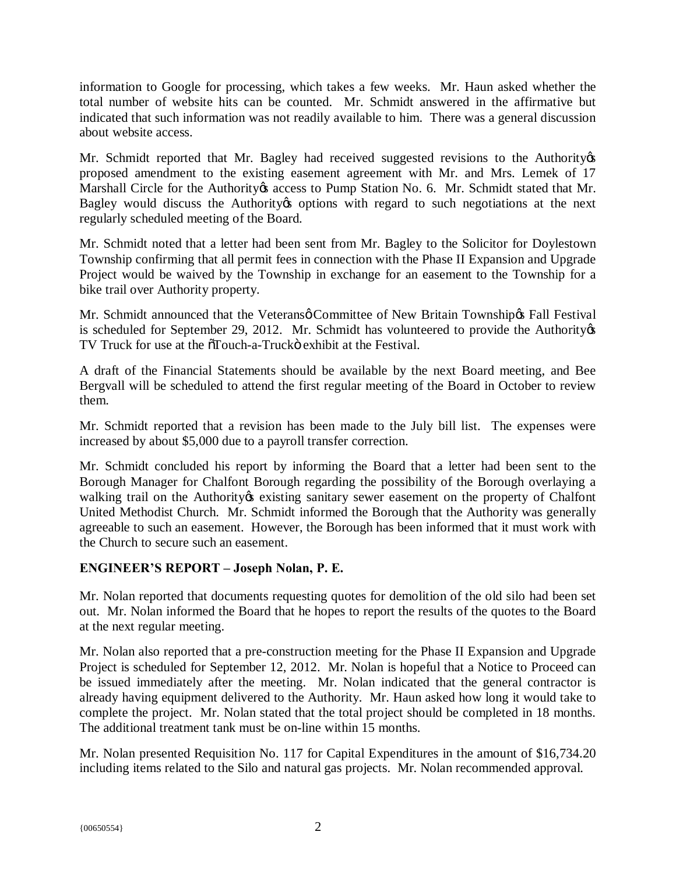information to Google for processing, which takes a few weeks. Mr. Haun asked whether the total number of website hits can be counted. Mr. Schmidt answered in the affirmative but indicated that such information was not readily available to him. There was a general discussion about website access.

Mr. Schmidt reported that Mr. Bagley had received suggested revisions to the Authority  $\alpha$ proposed amendment to the existing easement agreement with Mr. and Mrs. Lemek of 17 Marshall Circle for the Authority ts access to Pump Station No. 6. Mr. Schmidt stated that Mr. Bagley would discuss the Authority to options with regard to such negotiations at the next regularly scheduled meeting of the Board.

Mr. Schmidt noted that a letter had been sent from Mr. Bagley to the Solicitor for Doylestown Township confirming that all permit fees in connection with the Phase II Expansion and Upgrade Project would be waived by the Township in exchange for an easement to the Township for a bike trail over Authority property.

Mr. Schmidt announced that the Veteransø Committee of New Britain Township & Fall Festival is scheduled for September 29, 2012. Mr. Schmidt has volunteered to provide the Authority  $\alpha$ TV Truck for use at the  $\delta$ Touch-a-Truck $\ddot{\sigma}$  exhibit at the Festival.

A draft of the Financial Statements should be available by the next Board meeting, and Bee Bergvall will be scheduled to attend the first regular meeting of the Board in October to review them.

Mr. Schmidt reported that a revision has been made to the July bill list. The expenses were increased by about \$5,000 due to a payroll transfer correction.

Mr. Schmidt concluded his report by informing the Board that a letter had been sent to the Borough Manager for Chalfont Borough regarding the possibility of the Borough overlaying a walking trail on the Authority ts existing sanitary sewer easement on the property of Chalfont United Methodist Church. Mr. Schmidt informed the Borough that the Authority was generally agreeable to such an easement. However, the Borough has been informed that it must work with the Church to secure such an easement.

# **ENGINEER'S REPORT – Joseph Nolan, P. E.**

Mr. Nolan reported that documents requesting quotes for demolition of the old silo had been set out. Mr. Nolan informed the Board that he hopes to report the results of the quotes to the Board at the next regular meeting.

Mr. Nolan also reported that a pre-construction meeting for the Phase II Expansion and Upgrade Project is scheduled for September 12, 2012. Mr. Nolan is hopeful that a Notice to Proceed can be issued immediately after the meeting. Mr. Nolan indicated that the general contractor is already having equipment delivered to the Authority. Mr. Haun asked how long it would take to complete the project. Mr. Nolan stated that the total project should be completed in 18 months. The additional treatment tank must be on-line within 15 months.

Mr. Nolan presented Requisition No. 117 for Capital Expenditures in the amount of \$16,734.20 including items related to the Silo and natural gas projects. Mr. Nolan recommended approval.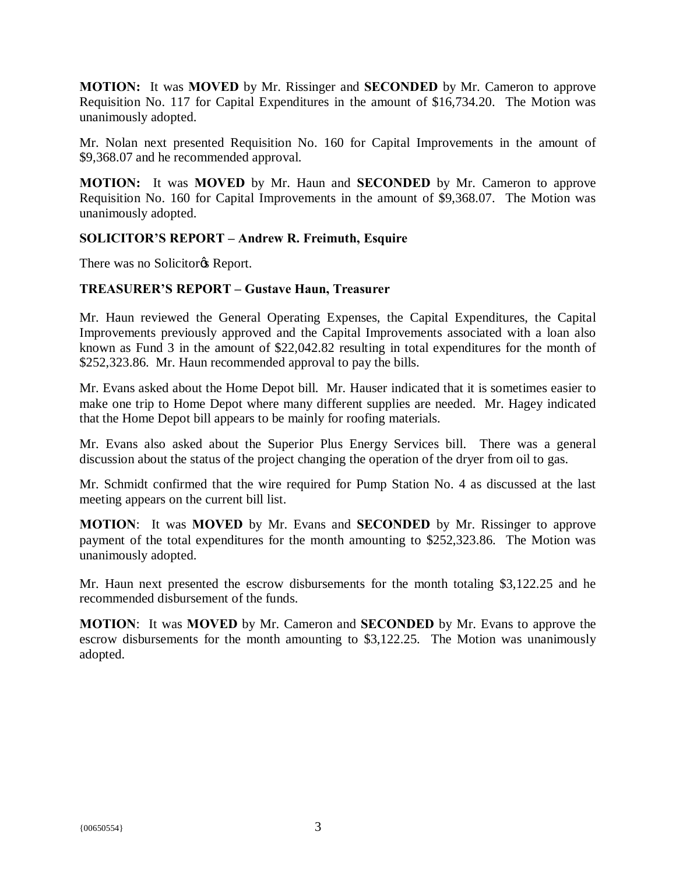**MOTION:** It was **MOVED** by Mr. Rissinger and **SECONDED** by Mr. Cameron to approve Requisition No. 117 for Capital Expenditures in the amount of \$16,734.20. The Motion was unanimously adopted.

Mr. Nolan next presented Requisition No. 160 for Capital Improvements in the amount of \$9,368.07 and he recommended approval.

**MOTION:** It was **MOVED** by Mr. Haun and **SECONDED** by Mr. Cameron to approve Requisition No. 160 for Capital Improvements in the amount of \$9,368.07. The Motion was unanimously adopted.

# **SOLICITOR'S REPORT – Andrew R. Freimuth, Esquire**

There was no Solicitor<sub>®</sub> Report.

### **TREASURER'S REPORT – Gustave Haun, Treasurer**

Mr. Haun reviewed the General Operating Expenses, the Capital Expenditures, the Capital Improvements previously approved and the Capital Improvements associated with a loan also known as Fund 3 in the amount of \$22,042.82 resulting in total expenditures for the month of \$252,323.86. Mr. Haun recommended approval to pay the bills.

Mr. Evans asked about the Home Depot bill. Mr. Hauser indicated that it is sometimes easier to make one trip to Home Depot where many different supplies are needed. Mr. Hagey indicated that the Home Depot bill appears to be mainly for roofing materials.

Mr. Evans also asked about the Superior Plus Energy Services bill. There was a general discussion about the status of the project changing the operation of the dryer from oil to gas.

Mr. Schmidt confirmed that the wire required for Pump Station No. 4 as discussed at the last meeting appears on the current bill list.

**MOTION**: It was **MOVED** by Mr. Evans and **SECONDED** by Mr. Rissinger to approve payment of the total expenditures for the month amounting to \$252,323.86. The Motion was unanimously adopted.

Mr. Haun next presented the escrow disbursements for the month totaling \$3,122.25 and he recommended disbursement of the funds.

**MOTION**: It was **MOVED** by Mr. Cameron and **SECONDED** by Mr. Evans to approve the escrow disbursements for the month amounting to \$3,122.25. The Motion was unanimously adopted.